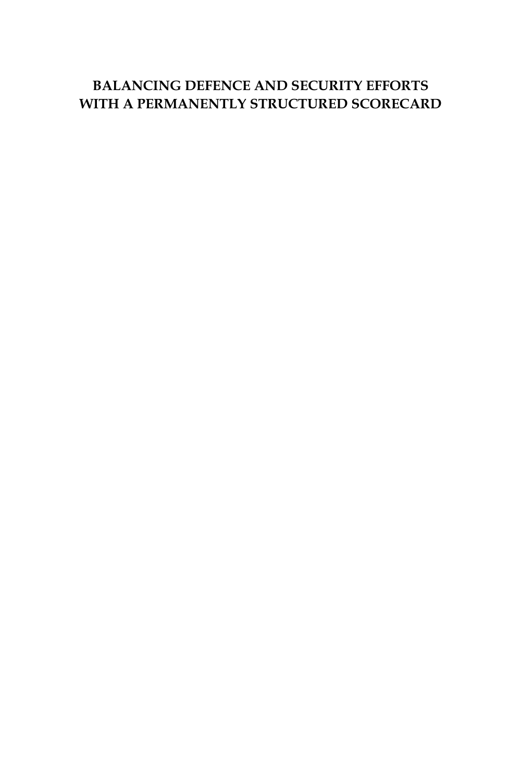#### **BALANCING DEFENCE AND SECURITY EFFORTS WITH A PERMANENTLY STRUCTURED SCORECARD**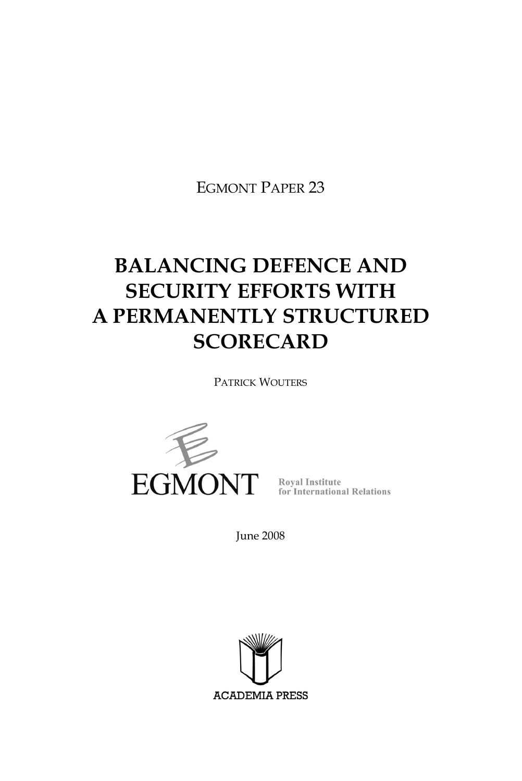EGMONT PAPER 23

# **BALANCING DEFENCE AND SECURITY EFFORTS WITH A PERMANENTLY STRUCTURED SCORECARD**

PATRICK WOUTERS



June 2008

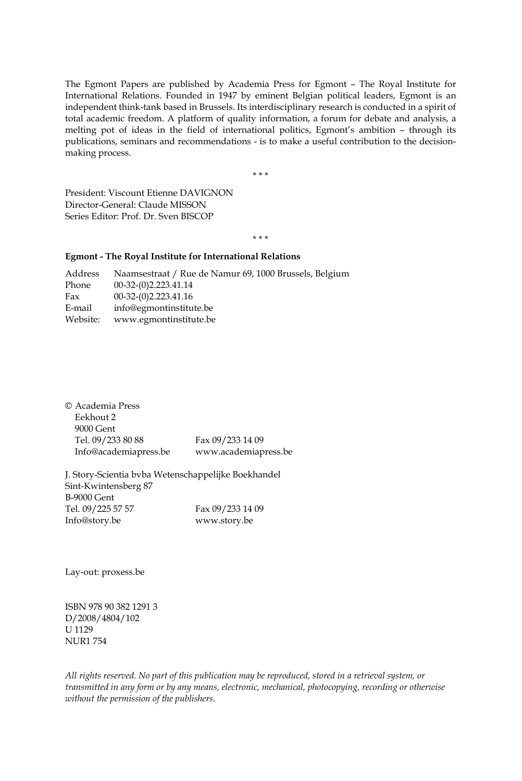The Egmont Papers are published by Academia Press for Egmont – The Royal Institute for International Relations. Founded in 1947 by eminent Belgian political leaders, Egmont is an independent think-tank based in Brussels. Its interdisciplinary research is conducted in a spirit of total academic freedom. A platform of quality information, a forum for debate and analysis, a melting pot of ideas in the field of international politics, Egmont's ambition – through its publications, seminars and recommendations - is to make a useful contribution to the decisionmaking process.

\*\*\*

President: Viscount Etienne DAVIGNON Director-General: Claude MISSON Series Editor: Prof. Dr. Sven BISCOP

\*\*\*

#### **Egmont - The Royal Institute for International Relations**

Address Naamsestraat / Rue de Namur 69, 1000 Brussels, Belgium Phone 00-32-(0)2.223.41.14 Fax 00-32-(0)2.223.41.16 E-mail info@egmontinstitute.be Website: www.egmontinstitute.be

| © Academia Press      |                      |
|-----------------------|----------------------|
| Eekhout 2             |                      |
| 9000 Gent             |                      |
| Tel. 09/233 80 88     | Fax 09/233 14 09     |
| Info@academiapress.be | www.academiapress.be |

J. Story-Scientia bvba Wetenschappelijke Boekhandel Sint-Kwintensberg 87 B-9000 Gent Tel. 09/225 57 57 Fax 09/233 14 09 Info@story.be www.story.be

Lay-out: proxess.be

ISBN 978 90 382 1291 3 D/2008/4804/102 U 1129 NUR1 754

*All rights reserved. No part of this publication may be reproduced, stored in a retrieval system, or transmitted in any form or by any means, electronic, mechanical, photocopying, recording or otherwise without the permission of the publishers.*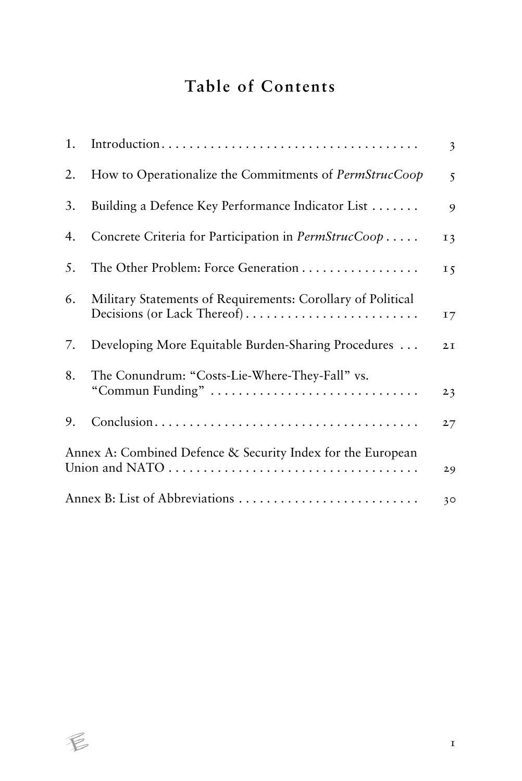# **Table of Contents**

| 1. |                                                                                            | $\overline{\mathbf{3}}$ |
|----|--------------------------------------------------------------------------------------------|-------------------------|
| 2. | How to Operationalize the Commitments of PermStrucCoop                                     | 5                       |
| 3. | Building a Defence Key Performance Indicator List                                          | 9                       |
| 4. | Concrete Criteria for Participation in PermStrucCoop                                       | 13                      |
| 5. | The Other Problem: Force Generation                                                        | 15                      |
| 6. | Military Statements of Requirements: Corollary of Political<br>Decisions (or Lack Thereof) | 17                      |
| 7. | Developing More Equitable Burden-Sharing Procedures                                        | 2I                      |
| 8. | The Conundrum: "Costs-Lie-Where-They-Fall" vs.<br>"Commun Funding"                         | 23                      |
| 9. |                                                                                            | 27                      |
|    | Annex A: Combined Defence & Security Index for the European                                | 29                      |
|    |                                                                                            | 30                      |

 $\not\in$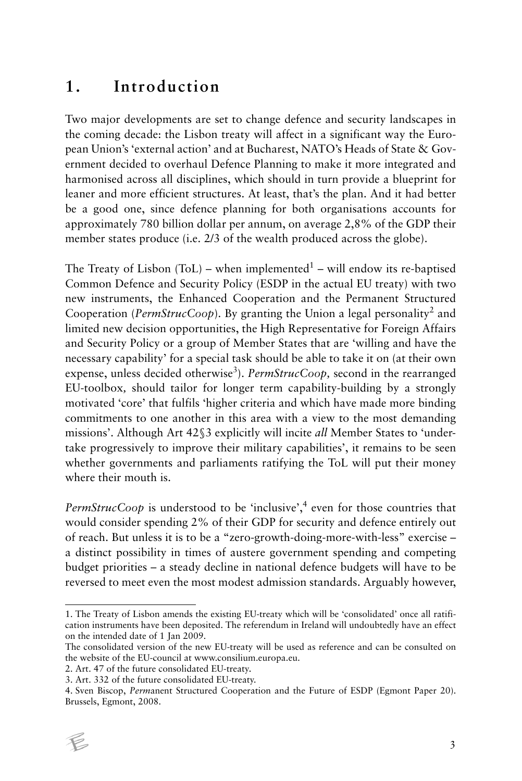# **1. Introduction**

Two major developments are set to change defence and security landscapes in the coming decade: the Lisbon treaty will affect in a significant way the European Union's 'external action' and at Bucharest, NATO's Heads of State & Government decided to overhaul Defence Planning to make it more integrated and harmonised across all disciplines, which should in turn provide a blueprint for leaner and more efficient structures. At least, that's the plan. And it had better be a good one, since defence planning for both organisations accounts for approximately 780 billion dollar per annum, on average 2,8% of the GDP their member states produce (i.e. 2/3 of the wealth produced across the globe).

The Treaty of Lisbon (ToL) – when implemented $1$  – will endow its re-baptised Common Defence and Security Policy (ESDP in the actual EU treaty) with two new instruments, the Enhanced Cooperation and the Permanent Structured Cooperation (PermStrucCoop). By granting the Union a legal personality<sup>2</sup> and limited new decision opportunities, the High Representative for Foreign Affairs and Security Policy or a group of Member States that are 'willing and have the necessary capability' for a special task should be able to take it on (at their own expense, unless decided otherwise<sup>3</sup>). *PermStrucCoop*, second in the rearranged EU-toolbox*,* should tailor for longer term capability-building by a strongly motivated 'core' that fulfils 'higher criteria and which have made more binding commitments to one another in this area with a view to the most demanding missions'. Although Art 42§3 explicitly will incite *all* Member States to 'undertake progressively to improve their military capabilities', it remains to be seen whether governments and parliaments ratifying the ToL will put their money where their mouth is.

PermStrucCoop is understood to be 'inclusive',<sup>4</sup> even for those countries that would consider spending 2% of their GDP for security and defence entirely out of reach. But unless it is to be a "zero-growth-doing-more-with-less" exercise – a distinct possibility in times of austere government spending and competing budget priorities – a steady decline in national defence budgets will have to be reversed to meet even the most modest admission standards. Arguably however,

<sup>4.</sup> Sven Biscop, *Perm*anent Structured Cooperation and the Future of ESDP (Egmont Paper 20). Brussels, Egmont, 2008.



<sup>1.</sup> The Treaty of Lisbon amends the existing EU-treaty which will be 'consolidated' once all ratification instruments have been deposited. The referendum in Ireland will undoubtedly have an effect on the intended date of 1 Jan 2009.

The consolidated version of the new EU-treaty will be used as reference and can be consulted on the website of the EU-council at www.consilium.europa.eu.

<sup>2.</sup> Art. 47 of the future consolidated EU-treaty.

<sup>3.</sup> Art. 332 of the future consolidated EU-treaty.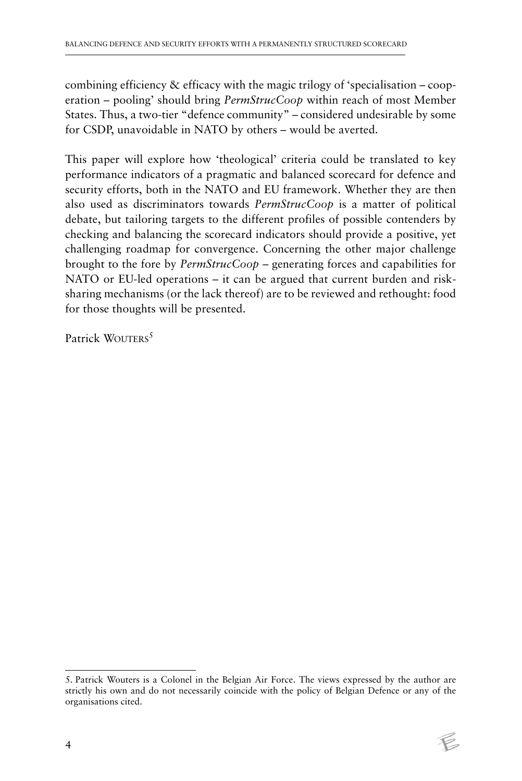combining efficiency & efficacy with the magic trilogy of 'specialisation – cooperation – pooling' should bring *PermStrucCoop* within reach of most Member States. Thus, a two-tier "defence community" – considered undesirable by some for CSDP, unavoidable in NATO by others – would be averted.

This paper will explore how 'theological' criteria could be translated to key performance indicators of a pragmatic and balanced scorecard for defence and security efforts, both in the NATO and EU framework. Whether they are then also used as discriminators towards *PermStrucCoop* is a matter of political debate, but tailoring targets to the different profiles of possible contenders by checking and balancing the scorecard indicators should provide a positive, yet challenging roadmap for convergence. Concerning the other major challenge brought to the fore by *PermStrucCoop* – generating forces and capabilities for NATO or EU-led operations – it can be argued that current burden and risksharing mechanisms (or the lack thereof) are to be reviewed and rethought: food for those thoughts will be presented.

Patrick WOUTERS<sup>5</sup>

<sup>5.</sup> Patrick Wouters is a Colonel in the Belgian Air Force. The views expressed by the author are strictly his own and do not necessarily coincide with the policy of Belgian Defence or any of the organisations cited.

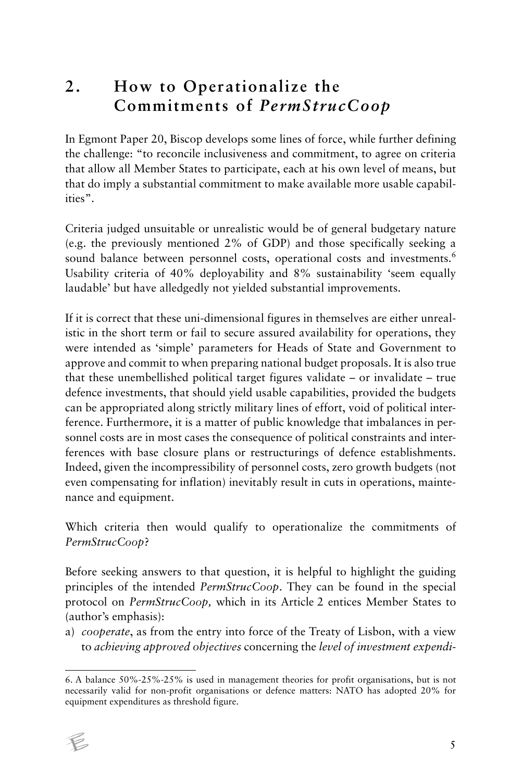# **2. How to Operationalize the Commitments of** *PermStrucCoop*

In Egmont Paper 20, Biscop develops some lines of force, while further defining the challenge: "to reconcile inclusiveness and commitment, to agree on criteria that allow all Member States to participate, each at his own level of means, but that do imply a substantial commitment to make available more usable capabilities".

Criteria judged unsuitable or unrealistic would be of general budgetary nature (e.g. the previously mentioned 2% of GDP) and those specifically seeking a sound balance between personnel costs, operational costs and investments.<sup>6</sup> Usability criteria of 40% deployability and 8% sustainability 'seem equally laudable' but have alledgedly not yielded substantial improvements.

If it is correct that these uni-dimensional figures in themselves are either unrealistic in the short term or fail to secure assured availability for operations, they were intended as 'simple' parameters for Heads of State and Government to approve and commit to when preparing national budget proposals. It is also true that these unembellished political target figures validate – or invalidate – true defence investments, that should yield usable capabilities, provided the budgets can be appropriated along strictly military lines of effort, void of political interference. Furthermore, it is a matter of public knowledge that imbalances in personnel costs are in most cases the consequence of political constraints and interferences with base closure plans or restructurings of defence establishments. Indeed, given the incompressibility of personnel costs, zero growth budgets (not even compensating for inflation) inevitably result in cuts in operations, maintenance and equipment.

Which criteria then would qualify to operationalize the commitments of *PermStrucCoop*?

Before seeking answers to that question, it is helpful to highlight the guiding principles of the intended *PermStrucCoop*. They can be found in the special protocol on *PermStrucCoop,* which in its Article 2 entices Member States to (author's emphasis):

a) *cooperate*, as from the entry into force of the Treaty of Lisbon, with a view to *achieving approved objectives* concerning the *level of investment expendi-*

<sup>6.</sup> A balance 50%-25%-25% is used in management theories for profit organisations, but is not necessarily valid for non-profit organisations or defence matters: NATO has adopted 20% for equipment expenditures as threshold figure.

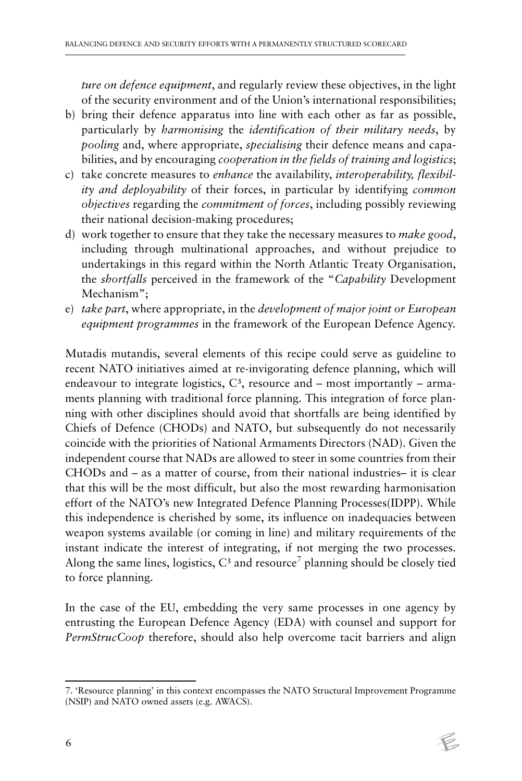*ture on defence equipment*, and regularly review these objectives, in the light of the security environment and of the Union's international responsibilities;

- b) bring their defence apparatus into line with each other as far as possible, particularly by *harmonising* the *identification of their military needs*, by *pooling* and, where appropriate, *specialising* their defence means and capabilities, and by encouraging *cooperation in the fields of training and logistics*;
- c) take concrete measures to *enhance* the availability, *interoperability, flexibility and deployability* of their forces, in particular by identifying *common objectives* regarding the *commitment of forces*, including possibly reviewing their national decision-making procedures;
- d) work together to ensure that they take the necessary measures to *make good*, including through multinational approaches, and without prejudice to undertakings in this regard within the North Atlantic Treaty Organisation, the *shortfalls* perceived in the framework of the "*Capability* Development Mechanism";
- e) *take part*, where appropriate, in the *development of major joint or European equipment programmes* in the framework of the European Defence Agency.

Mutadis mutandis, several elements of this recipe could serve as guideline to recent NATO initiatives aimed at re-invigorating defence planning, which will endeavour to integrate logistics,  $C^3$ , resource and – most importantly – armaments planning with traditional force planning. This integration of force planning with other disciplines should avoid that shortfalls are being identified by Chiefs of Defence (CHODs) and NATO, but subsequently do not necessarily coincide with the priorities of National Armaments Directors (NAD). Given the independent course that NADs are allowed to steer in some countries from their CHODs and – as a matter of course, from their national industries– it is clear that this will be the most difficult, but also the most rewarding harmonisation effort of the NATO's new Integrated Defence Planning Processes(IDPP). While this independence is cherished by some, its influence on inadequacies between weapon systems available (or coming in line) and military requirements of the instant indicate the interest of integrating, if not merging the two processes. Along the same lines, logistics,  $C^3$  and resource<sup>7</sup> planning should be closely tied to force planning.

In the case of the EU, embedding the very same processes in one agency by entrusting the European Defence Agency (EDA) with counsel and support for *PermStrucCoop* therefore, should also help overcome tacit barriers and align

<sup>7. &#</sup>x27;Resource planning' in this context encompasses the NATO Structural Improvement Programme (NSIP) and NATO owned assets (e.g. AWACS).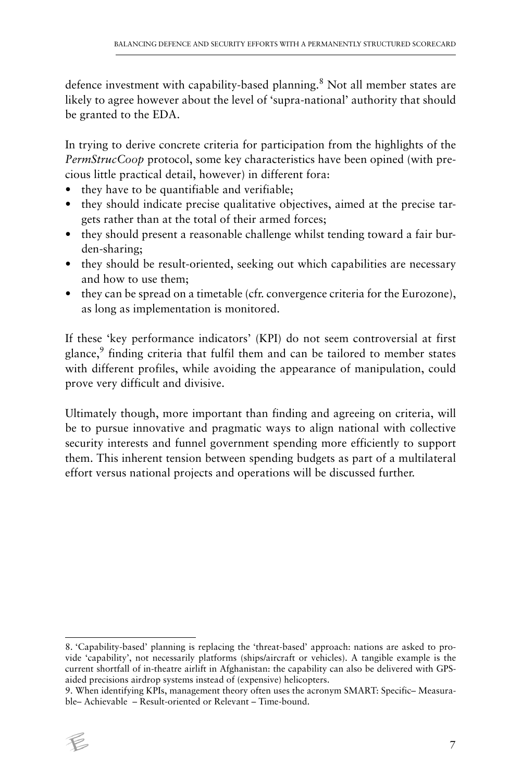defence investment with capability-based planning.<sup>8</sup> Not all member states are likely to agree however about the level of 'supra-national' authority that should be granted to the EDA.

In trying to derive concrete criteria for participation from the highlights of the *PermStrucCoop* protocol, some key characteristics have been opined (with precious little practical detail, however) in different fora:

- they have to be quantifiable and verifiable;
- they should indicate precise qualitative objectives, aimed at the precise targets rather than at the total of their armed forces;
- they should present a reasonable challenge whilst tending toward a fair burden-sharing;
- they should be result-oriented, seeking out which capabilities are necessary and how to use them;
- they can be spread on a timetable (cfr. convergence criteria for the Eurozone), as long as implementation is monitored.

If these 'key performance indicators' (KPI) do not seem controversial at first glance,<sup>9</sup> finding criteria that fulfil them and can be tailored to member states with different profiles, while avoiding the appearance of manipulation, could prove very difficult and divisive.

Ultimately though, more important than finding and agreeing on criteria, will be to pursue innovative and pragmatic ways to align national with collective security interests and funnel government spending more efficiently to support them. This inherent tension between spending budgets as part of a multilateral effort versus national projects and operations will be discussed further.

<sup>9.</sup> When identifying KPIs, management theory often uses the acronym SMART: Specific– Measurable– Achievable – Result-oriented or Relevant – Time-bound.



<sup>8. &#</sup>x27;Capability-based' planning is replacing the 'threat-based' approach: nations are asked to provide 'capability', not necessarily platforms (ships/aircraft or vehicles). A tangible example is the current shortfall of in-theatre airlift in Afghanistan: the capability can also be delivered with GPSaided precisions airdrop systems instead of (expensive) helicopters.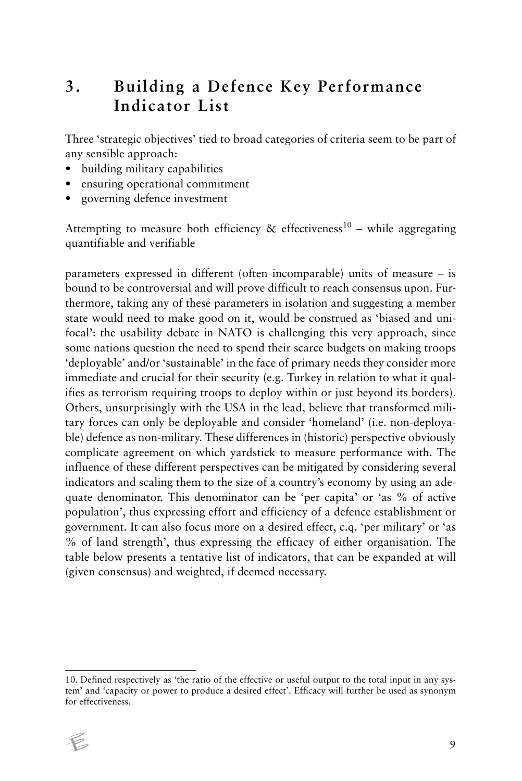#### **3. Building a Defence Key Performance Indicator List**

Three 'strategic objectives' tied to broad categories of criteria seem to be part of any sensible approach:

- building military capabilities
- ensuring operational commitment
- governing defence investment

Attempting to measure both efficiency & effectiveness<sup>10</sup> – while aggregating quantifiable and verifiable

parameters expressed in different (often incomparable) units of measure – is bound to be controversial and will prove difficult to reach consensus upon. Furthermore, taking any of these parameters in isolation and suggesting a member state would need to make good on it, would be construed as 'biased and unifocal': the usability debate in NATO is challenging this very approach, since some nations question the need to spend their scarce budgets on making troops 'deployable' and/or 'sustainable' in the face of primary needs they consider more immediate and crucial for their security (e.g. Turkey in relation to what it qualifies as terrorism requiring troops to deploy within or just beyond its borders). Others, unsurprisingly with the USA in the lead, believe that transformed military forces can only be deployable and consider 'homeland' (i.e. non-deployable) defence as non-military. These differences in (historic) perspective obviously complicate agreement on which yardstick to measure performance with. The influence of these different perspectives can be mitigated by considering several indicators and scaling them to the size of a country's economy by using an adequate denominator. This denominator can be 'per capita' or 'as % of active population', thus expressing effort and efficiency of a defence establishment or government. It can also focus more on a desired effect, c.q. 'per military' or 'as % of land strength', thus expressing the efficacy of either organisation. The table below presents a tentative list of indicators, that can be expanded at will (given consensus) and weighted, if deemed necessary.

<sup>10.</sup> Defined respectively as 'the ratio of the effective or useful output to the total input in any system' and 'capacity or power to produce a desired effect'. Efficacy will further be used as synonym for effectiveness.

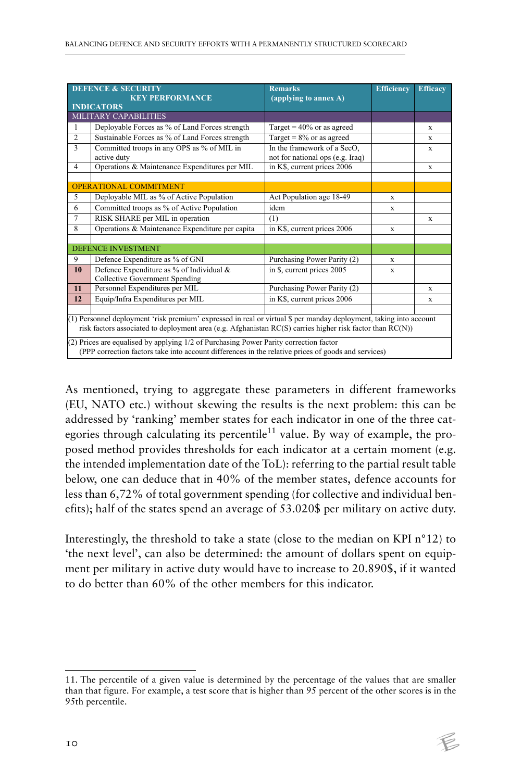|                | <b>DEFENCE &amp; SECURITY</b><br><b>KEY PERFORMANCE</b>                                                                                                                                                                                                                                                                                                                                                                            | <b>Remarks</b><br>(applying to annex A) | <b>Efficiency</b> | <b>Efficacy</b> |
|----------------|------------------------------------------------------------------------------------------------------------------------------------------------------------------------------------------------------------------------------------------------------------------------------------------------------------------------------------------------------------------------------------------------------------------------------------|-----------------------------------------|-------------------|-----------------|
|                | <b>INDICATORS</b>                                                                                                                                                                                                                                                                                                                                                                                                                  |                                         |                   |                 |
|                | MILITARY CAPABILITIES                                                                                                                                                                                                                                                                                                                                                                                                              |                                         |                   |                 |
| 1              | Deployable Forces as % of Land Forces strength                                                                                                                                                                                                                                                                                                                                                                                     | Target = $40\%$ or as agreed            |                   | X               |
| $\overline{2}$ | Sustainable Forces as % of Land Forces strength                                                                                                                                                                                                                                                                                                                                                                                    | Target = $8\%$ or as agreed             |                   | $\mathbf{x}$    |
| 3              | Committed troops in any OPS as % of MIL in                                                                                                                                                                                                                                                                                                                                                                                         | In the framework of a SecO,             |                   | X               |
|                | active duty                                                                                                                                                                                                                                                                                                                                                                                                                        | not for national ops (e.g. Iraq)        |                   |                 |
| $\overline{4}$ | Operations & Maintenance Expenditures per MIL                                                                                                                                                                                                                                                                                                                                                                                      | in K\$, current prices 2006             |                   | X               |
|                |                                                                                                                                                                                                                                                                                                                                                                                                                                    |                                         |                   |                 |
|                | <b>OPERATIONAL COMMITMENT</b>                                                                                                                                                                                                                                                                                                                                                                                                      |                                         |                   |                 |
| 5              | Deployable MIL as % of Active Population                                                                                                                                                                                                                                                                                                                                                                                           | Act Population age 18-49                | $\mathbf{x}$      |                 |
| 6              | Committed troops as % of Active Population                                                                                                                                                                                                                                                                                                                                                                                         | idem                                    | $\mathbf{x}$      |                 |
| 7              | RISK SHARE per MIL in operation                                                                                                                                                                                                                                                                                                                                                                                                    | (1)                                     |                   | X               |
| 8              | Operations & Maintenance Expenditure per capita                                                                                                                                                                                                                                                                                                                                                                                    | in K\$, current prices 2006             | $\mathbf x$       |                 |
|                | <b>DEFENCE INVESTMENT</b>                                                                                                                                                                                                                                                                                                                                                                                                          |                                         |                   |                 |
| 9              | Defence Expenditure as % of GNI                                                                                                                                                                                                                                                                                                                                                                                                    | Purchasing Power Parity (2)             | $\mathbf{x}$      |                 |
| 10             | Defence Expenditure as % of Individual &<br><b>Collective Government Spending</b>                                                                                                                                                                                                                                                                                                                                                  | in \$, current prices 2005              | $\mathbf x$       |                 |
| 11             | Personnel Expenditures per MIL                                                                                                                                                                                                                                                                                                                                                                                                     | Purchasing Power Parity (2)             |                   | X               |
| 12             | Equip/Infra Expenditures per MIL                                                                                                                                                                                                                                                                                                                                                                                                   | in K\$, current prices 2006             |                   | X               |
|                | (1) Personnel deployment 'risk premium' expressed in real or virtual \$ per manday deployment, taking into account<br>risk factors associated to deployment area (e.g. Afghanistan RC(S) carries higher risk factor than $RC(N)$ )<br>(2) Prices are equalised by applying 1/2 of Purchasing Power Parity correction factor<br>(PPP correction factors take into account differences in the relative prices of goods and services) |                                         |                   |                 |

As mentioned, trying to aggregate these parameters in different frameworks (EU, NATO etc.) without skewing the results is the next problem: this can be addressed by 'ranking' member states for each indicator in one of the three categories through calculating its percentile<sup>11</sup> value. By way of example, the proposed method provides thresholds for each indicator at a certain moment (e.g. the intended implementation date of the ToL): referring to the partial result table below, one can deduce that in 40% of the member states, defence accounts for less than 6,72% of total government spending (for collective and individual benefits); half of the states spend an average of 53.020\$ per military on active duty.

Interestingly, the threshold to take a state (close to the median on KPI n°12) to 'the next level', can also be determined: the amount of dollars spent on equipment per military in active duty would have to increase to 20.890\$, if it wanted to do better than 60% of the other members for this indicator.

<sup>11.</sup> The percentile of a given value is determined by the percentage of the values that are smaller than that figure. For example, a test score that is higher than 95 percent of the other scores is in the 95th percentile.

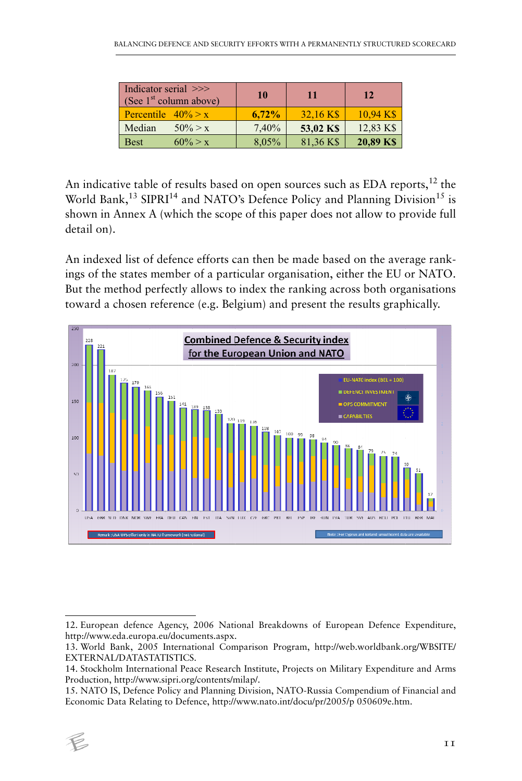| Indicator serial >>><br>(See $1st$ column above) | 10       | 11        | 12        |
|--------------------------------------------------|----------|-----------|-----------|
| Percentile $40\% > x$                            | $6.72\%$ | 32.16 K\$ | 10.94 K\$ |
| Median<br>$50\% > x$                             | 7,40%    | 53,02 KS  | 12,83 K\$ |
| $60\% > x$<br><b>Best</b>                        | 8,05%    | 81,36 K\$ | 20,89 K\$ |
|                                                  |          |           |           |

An indicative table of results based on open sources such as EDA reports, $12$  the World Bank,<sup>13</sup> SIPRI<sup>14</sup> and NATO's Defence Policy and Planning Division<sup>15</sup> is shown in Annex A (which the scope of this paper does not allow to provide full detail on).

An indexed list of defence efforts can then be made based on the average rankings of the states member of a particular organisation, either the EU or NATO. But the method perfectly allows to index the ranking across both organisations toward a chosen reference (e.g. Belgium) and present the results graphically.



<sup>15.</sup> NATO IS, Defence Policy and Planning Division, NATO-Russia Compendium of Financial and Economic Data Relating to Defence, http://www.nato.int/docu/pr/2005/p 050609e.htm.



<sup>12.</sup> European defence Agency, 2006 National Breakdowns of European Defence Expenditure, http://www.eda.europa.eu/documents.aspx.

<sup>13.</sup> World Bank, 2005 International Comparison Program, http://web.worldbank.org/WBSITE/ EXTERNAL/DATASTATISTICS.

<sup>14.</sup> Stockholm International Peace Research Institute, Projects on Military Expenditure and Arms Production, http://www.sipri.org/contents/milap/.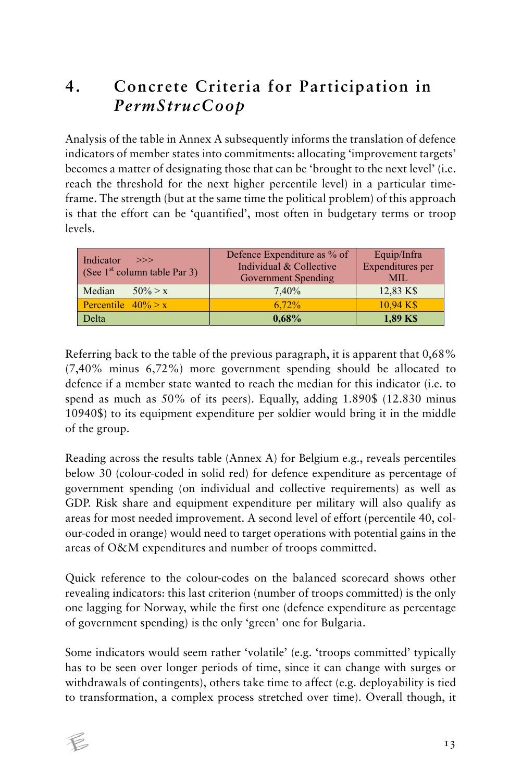# **4. Concrete Criteria for Participation in**  *PermStrucCoop*

Analysis of the table in Annex A subsequently informs the translation of defence indicators of member states into commitments: allocating 'improvement targets' becomes a matter of designating those that can be 'brought to the next level' (i.e. reach the threshold for the next higher percentile level) in a particular timeframe. The strength (but at the same time the political problem) of this approach is that the effort can be 'quantified', most often in budgetary terms or troop levels.

| Indicator<br>>>><br>(See $1st$ column table Par 3) | Defence Expenditure as % of<br>Individual & Collective<br>Government Spending | Equip/Infra<br>Expenditures per<br><b>MIL</b> |
|----------------------------------------------------|-------------------------------------------------------------------------------|-----------------------------------------------|
| Median<br>$50\% > x$                               | $7.40\%$                                                                      | 12,83 K\$                                     |
| Percentile $40\% > x$                              | $6.72\%$                                                                      | $10,94 K$ \$                                  |
| Delta                                              | $0,68\%$                                                                      | 1,89 KS                                       |
|                                                    |                                                                               |                                               |

Referring back to the table of the previous paragraph, it is apparent that 0,68% (7,40% minus 6,72%) more government spending should be allocated to defence if a member state wanted to reach the median for this indicator (i.e. to spend as much as 50% of its peers). Equally, adding 1.890\$ (12.830 minus 10940\$) to its equipment expenditure per soldier would bring it in the middle of the group.

Reading across the results table (Annex A) for Belgium e.g., reveals percentiles below 30 (colour-coded in solid red) for defence expenditure as percentage of government spending (on individual and collective requirements) as well as GDP. Risk share and equipment expenditure per military will also qualify as areas for most needed improvement. A second level of effort (percentile 40, colour-coded in orange) would need to target operations with potential gains in the areas of O&M expenditures and number of troops committed.

Quick reference to the colour-codes on the balanced scorecard shows other revealing indicators: this last criterion (number of troops committed) is the only one lagging for Norway, while the first one (defence expenditure as percentage of government spending) is the only 'green' one for Bulgaria.

Some indicators would seem rather 'volatile' (e.g. 'troops committed' typically has to be seen over longer periods of time, since it can change with surges or withdrawals of contingents), others take time to affect (e.g. deployability is tied to transformation, a complex process stretched over time). Overall though, it

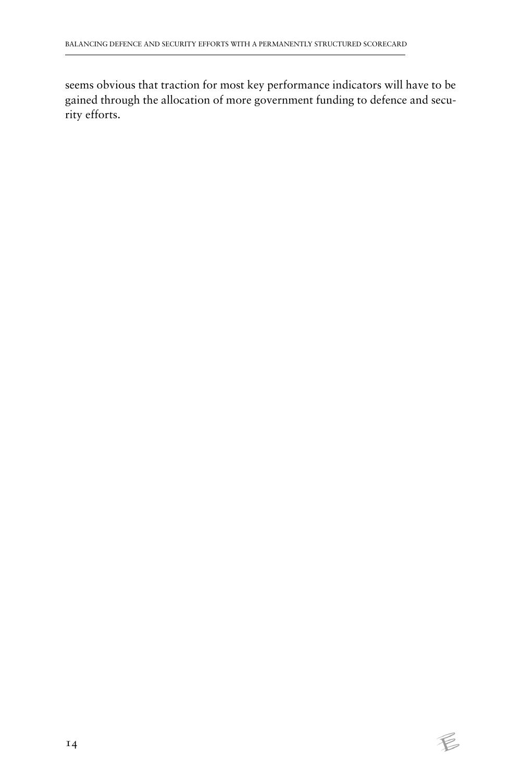seems obvious that traction for most key performance indicators will have to be gained through the allocation of more government funding to defence and security efforts.

 $\not\in$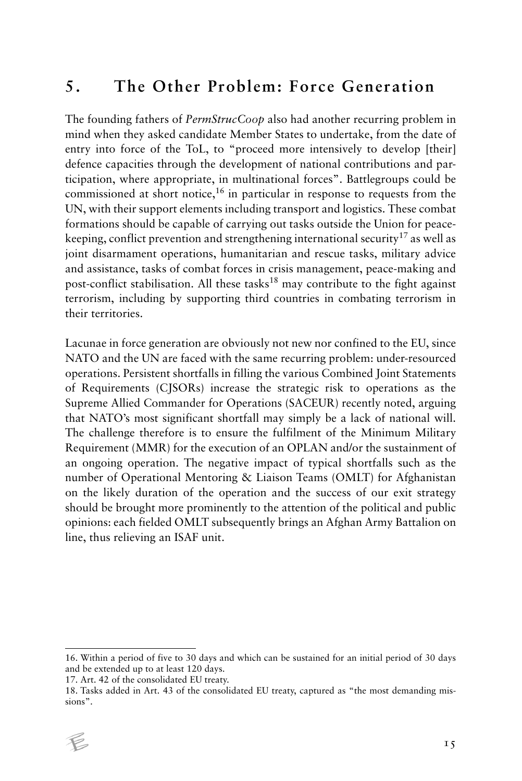#### **5. The Other Problem: Force Generation**

The founding fathers of *PermStrucCoop* also had another recurring problem in mind when they asked candidate Member States to undertake, from the date of entry into force of the ToL, to "proceed more intensively to develop [their] defence capacities through the development of national contributions and participation, where appropriate, in multinational forces". Battlegroups could be commissioned at short notice,<sup>16</sup> in particular in response to requests from the UN, with their support elements including transport and logistics. These combat formations should be capable of carrying out tasks outside the Union for peacekeeping, conflict prevention and strengthening international security<sup>17</sup> as well as joint disarmament operations, humanitarian and rescue tasks, military advice and assistance, tasks of combat forces in crisis management, peace-making and post-conflict stabilisation. All these tasks<sup>18</sup> may contribute to the fight against terrorism, including by supporting third countries in combating terrorism in their territories.

Lacunae in force generation are obviously not new nor confined to the EU, since NATO and the UN are faced with the same recurring problem: under-resourced operations. Persistent shortfalls in filling the various Combined Joint Statements of Requirements (CJSORs) increase the strategic risk to operations as the Supreme Allied Commander for Operations (SACEUR) recently noted, arguing that NATO's most significant shortfall may simply be a lack of national will. The challenge therefore is to ensure the fulfilment of the Minimum Military Requirement (MMR) for the execution of an OPLAN and/or the sustainment of an ongoing operation. The negative impact of typical shortfalls such as the number of Operational Mentoring & Liaison Teams (OMLT) for Afghanistan on the likely duration of the operation and the success of our exit strategy should be brought more prominently to the attention of the political and public opinions: each fielded OMLT subsequently brings an Afghan Army Battalion on line, thus relieving an ISAF unit.

<sup>16.</sup> Within a period of five to 30 days and which can be sustained for an initial period of 30 days and be extended up to at least 120 days.

<sup>17.</sup> Art. 42 of the consolidated EU treaty.

<sup>18.</sup> Tasks added in Art. 43 of the consolidated EU treaty, captured as "the most demanding missions".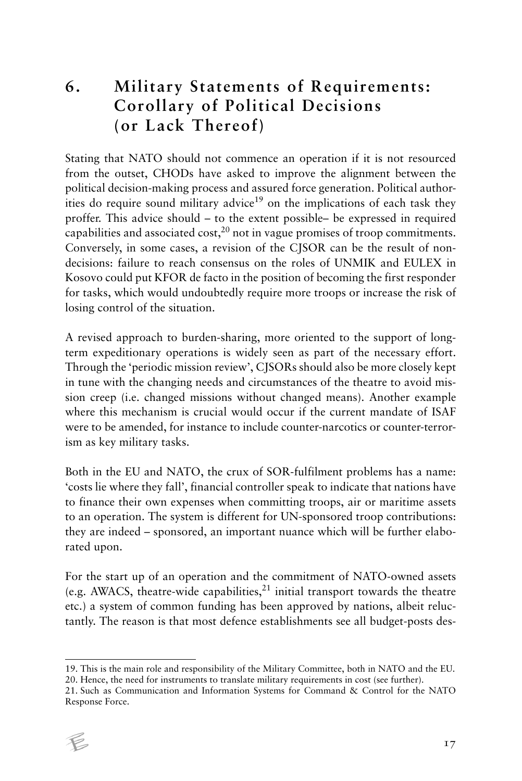# **6. Military Statements of Requirements: Corollary of Political Decisions (or Lack Thereof)**

Stating that NATO should not commence an operation if it is not resourced from the outset, CHODs have asked to improve the alignment between the political decision-making process and assured force generation. Political authorities do require sound military advice<sup>19</sup> on the implications of each task they proffer. This advice should – to the extent possible– be expressed in required capabilities and associated  $cost<sub>1</sub><sup>20</sup>$  not in vague promises of troop commitments. Conversely, in some cases, a revision of the CJSOR can be the result of nondecisions: failure to reach consensus on the roles of UNMIK and EULEX in Kosovo could put KFOR de facto in the position of becoming the first responder for tasks, which would undoubtedly require more troops or increase the risk of losing control of the situation.

A revised approach to burden-sharing, more oriented to the support of longterm expeditionary operations is widely seen as part of the necessary effort. Through the 'periodic mission review', CJSORs should also be more closely kept in tune with the changing needs and circumstances of the theatre to avoid mission creep (i.e. changed missions without changed means). Another example where this mechanism is crucial would occur if the current mandate of ISAF were to be amended, for instance to include counter-narcotics or counter-terrorism as key military tasks.

Both in the EU and NATO, the crux of SOR-fulfilment problems has a name: 'costs lie where they fall', financial controller speak to indicate that nations have to finance their own expenses when committing troops, air or maritime assets to an operation. The system is different for UN-sponsored troop contributions: they are indeed – sponsored, an important nuance which will be further elaborated upon.

For the start up of an operation and the commitment of NATO-owned assets (e.g. AWACS, theatre-wide capabilities, $^{21}$  initial transport towards the theatre etc.) a system of common funding has been approved by nations, albeit reluctantly. The reason is that most defence establishments see all budget-posts des-

<sup>21.</sup> Such as Communication and Information Systems for Command & Control for the NATO Response Force.



<sup>19.</sup> This is the main role and responsibility of the Military Committee, both in NATO and the EU. 20. Hence, the need for instruments to translate military requirements in cost (see further).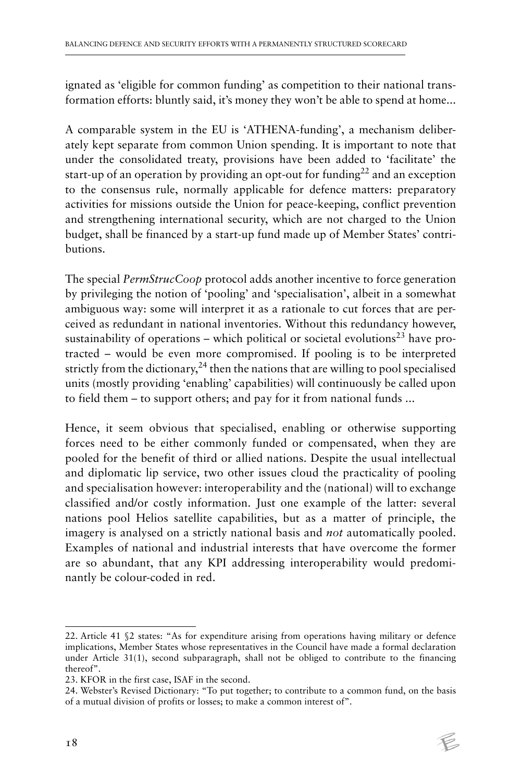ignated as 'eligible for common funding' as competition to their national transformation efforts: bluntly said, it's money they won't be able to spend at home...

A comparable system in the EU is 'ATHENA-funding', a mechanism deliberately kept separate from common Union spending. It is important to note that under the consolidated treaty, provisions have been added to 'facilitate' the start-up of an operation by providing an opt-out for funding<sup>22</sup> and an exception to the consensus rule, normally applicable for defence matters: preparatory activities for missions outside the Union for peace-keeping, conflict prevention and strengthening international security, which are not charged to the Union budget, shall be financed by a start-up fund made up of Member States' contributions.

The special *PermStrucCoop* protocol adds another incentive to force generation by privileging the notion of 'pooling' and 'specialisation', albeit in a somewhat ambiguous way: some will interpret it as a rationale to cut forces that are perceived as redundant in national inventories. Without this redundancy however, sustainability of operations – which political or societal evolutions<sup>23</sup> have protracted – would be even more compromised. If pooling is to be interpreted strictly from the dictionary, $24$  then the nations that are willing to pool specialised units (mostly providing 'enabling' capabilities) will continuously be called upon to field them – to support others; and pay for it from national funds ...

Hence, it seem obvious that specialised, enabling or otherwise supporting forces need to be either commonly funded or compensated, when they are pooled for the benefit of third or allied nations. Despite the usual intellectual and diplomatic lip service, two other issues cloud the practicality of pooling and specialisation however: interoperability and the (national) will to exchange classified and/or costly information. Just one example of the latter: several nations pool Helios satellite capabilities, but as a matter of principle, the imagery is analysed on a strictly national basis and *not* automatically pooled. Examples of national and industrial interests that have overcome the former are so abundant, that any KPI addressing interoperability would predominantly be colour-coded in red.

<sup>22.</sup> Article 41 §2 states: "As for expenditure arising from operations having military or defence implications, Member States whose representatives in the Council have made a formal declaration under Article 31(1), second subparagraph, shall not be obliged to contribute to the financing thereof".

<sup>23.</sup> KFOR in the first case, ISAF in the second.

<sup>24.</sup> Webster's Revised Dictionary: "To put together; to contribute to a common fund, on the basis of a mutual division of profits or losses; to make a common interest of".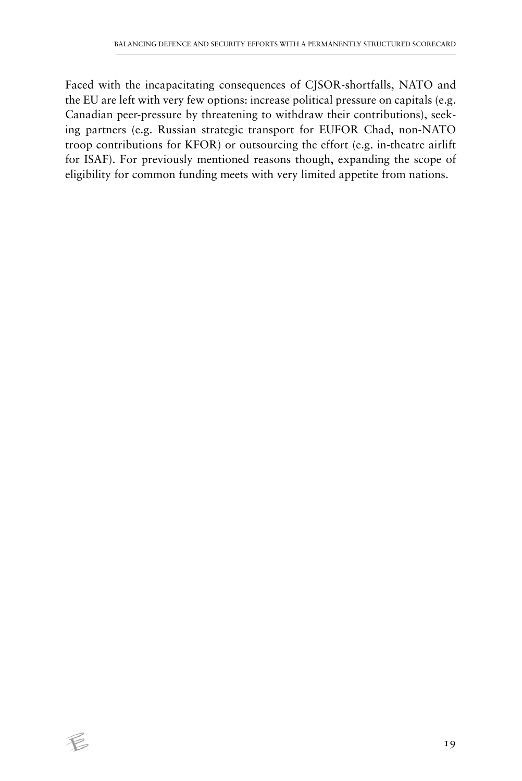Faced with the incapacitating consequences of CJSOR-shortfalls, NATO and the EU are left with very few options: increase political pressure on capitals (e.g. Canadian peer-pressure by threatening to withdraw their contributions), seeking partners (e.g. Russian strategic transport for EUFOR Chad, non-NATO troop contributions for KFOR) or outsourcing the effort (e.g. in-theatre airlift for ISAF). For previously mentioned reasons though, expanding the scope of eligibility for common funding meets with very limited appetite from nations.

 $\epsilon$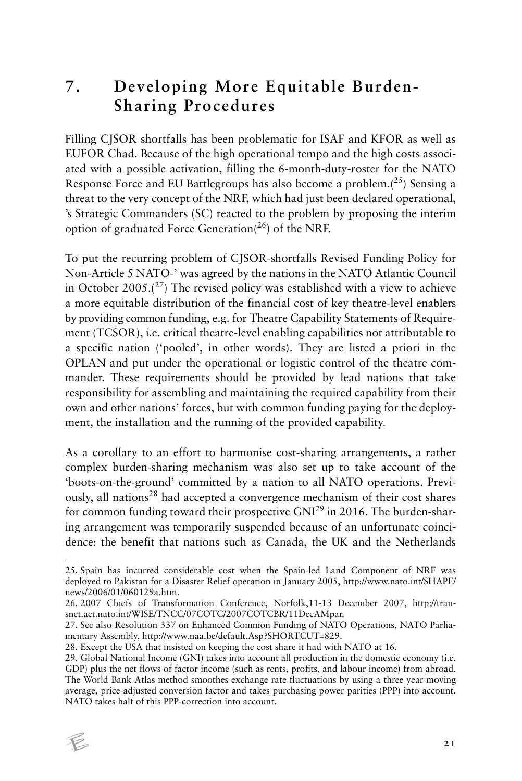#### **7. Developing More Equitable Burden-Sharing Procedures**

Filling CJSOR shortfalls has been problematic for ISAF and KFOR as well as EUFOR Chad. Because of the high operational tempo and the high costs associated with a possible activation, filling the 6-month-duty-roster for the NATO Response Force and EU Battlegroups has also become a problem.( $^{25}$ ) Sensing a threat to the very concept of the NRF, which had just been declared operational, 's Strategic Commanders (SC) reacted to the problem by proposing the interim option of graduated Force Generation( $^{26}$ ) of the NRF.

To put the recurring problem of CJSOR-shortfalls Revised Funding Policy for Non-Article 5 NATO-' was agreed by the nations in the NATO Atlantic Council in October 2005. $(27)$  The revised policy was established with a view to achieve a more equitable distribution of the financial cost of key theatre-level enablers by providing common funding, e.g. for Theatre Capability Statements of Requirement (TCSOR), i.e. critical theatre-level enabling capabilities not attributable to a specific nation ('pooled', in other words). They are listed a priori in the OPLAN and put under the operational or logistic control of the theatre commander. These requirements should be provided by lead nations that take responsibility for assembling and maintaining the required capability from their own and other nations' forces, but with common funding paying for the deployment, the installation and the running of the provided capability.

As a corollary to an effort to harmonise cost-sharing arrangements, a rather complex burden-sharing mechanism was also set up to take account of the 'boots-on-the-ground' committed by a nation to all NATO operations. Previously, all nations<sup>28</sup> had accepted a convergence mechanism of their cost shares for common funding toward their prospective GNI29 in 2016. The burden-sharing arrangement was temporarily suspended because of an unfortunate coincidence: the benefit that nations such as Canada, the UK and the Netherlands

<sup>29.</sup> Global National Income (GNI) takes into account all production in the domestic economy (i.e. GDP) plus the net flows of factor income (such as rents, profits, and labour income) from abroad. The World Bank Atlas method smoothes exchange rate fluctuations by using a three year moving average, price-adjusted conversion factor and takes purchasing power parities (PPP) into account. NATO takes half of this PPP-correction into account.



<sup>25.</sup> Spain has incurred considerable cost when the Spain-led Land Component of NRF was deployed to Pakistan for a Disaster Relief operation in January 2005, http://www.nato.int/SHAPE/ news/2006/01/060129a.htm.

<sup>26. 2007</sup> Chiefs of Transformation Conference, Norfolk,11-13 December 2007, http://transnet.act.nato.int/WISE/TNCC/07COTC/2007COTCBR/11DecAMpar.

<sup>27.</sup> See also Resolution 337 on Enhanced Common Funding of NATO Operations, NATO Parliamentary Assembly, http://www.naa.be/default.Asp?SHORTCUT=829.

<sup>28.</sup> Except the USA that insisted on keeping the cost share it had with NATO at 16.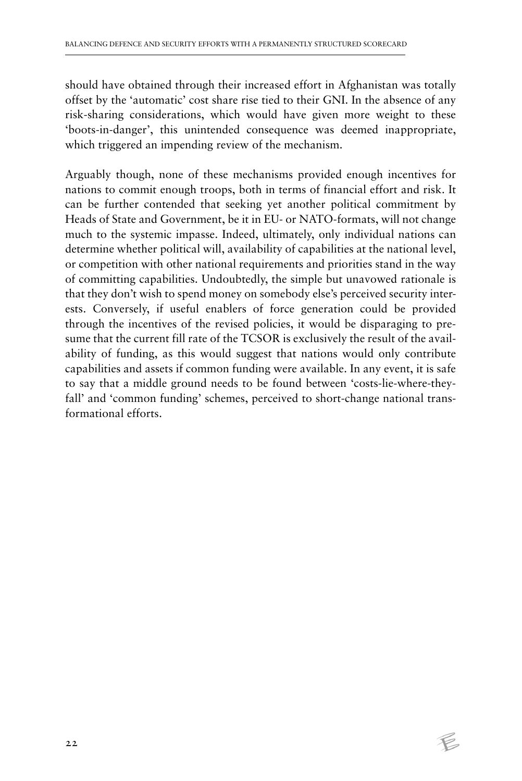should have obtained through their increased effort in Afghanistan was totally offset by the 'automatic' cost share rise tied to their GNI. In the absence of any risk-sharing considerations, which would have given more weight to these 'boots-in-danger', this unintended consequence was deemed inappropriate, which triggered an impending review of the mechanism.

Arguably though, none of these mechanisms provided enough incentives for nations to commit enough troops, both in terms of financial effort and risk. It can be further contended that seeking yet another political commitment by Heads of State and Government, be it in EU- or NATO-formats, will not change much to the systemic impasse. Indeed, ultimately, only individual nations can determine whether political will, availability of capabilities at the national level, or competition with other national requirements and priorities stand in the way of committing capabilities. Undoubtedly, the simple but unavowed rationale is that they don't wish to spend money on somebody else's perceived security interests. Conversely, if useful enablers of force generation could be provided through the incentives of the revised policies, it would be disparaging to presume that the current fill rate of the TCSOR is exclusively the result of the availability of funding, as this would suggest that nations would only contribute capabilities and assets if common funding were available. In any event, it is safe to say that a middle ground needs to be found between 'costs-lie-where-theyfall' and 'common funding' schemes, perceived to short-change national transformational efforts.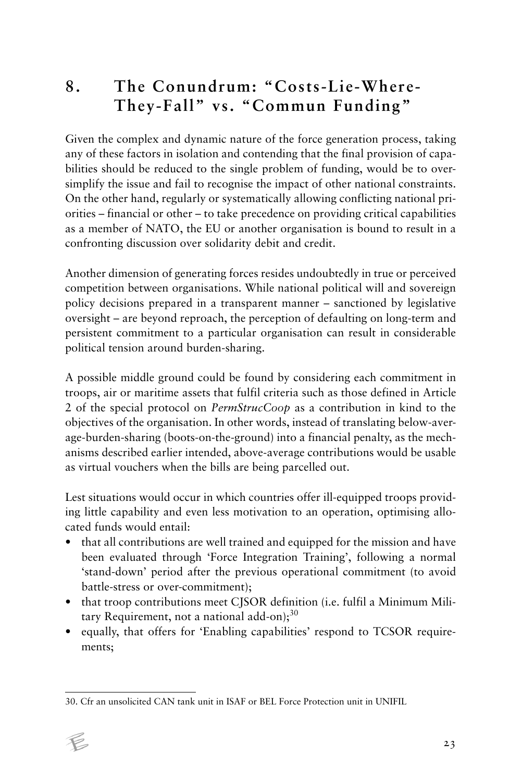#### **8. The Conundrum: "Costs-Lie-Where-They-Fall" vs. "Commun Funding"**

Given the complex and dynamic nature of the force generation process, taking any of these factors in isolation and contending that the final provision of capabilities should be reduced to the single problem of funding, would be to oversimplify the issue and fail to recognise the impact of other national constraints. On the other hand, regularly or systematically allowing conflicting national priorities – financial or other – to take precedence on providing critical capabilities as a member of NATO, the EU or another organisation is bound to result in a confronting discussion over solidarity debit and credit.

Another dimension of generating forces resides undoubtedly in true or perceived competition between organisations. While national political will and sovereign policy decisions prepared in a transparent manner – sanctioned by legislative oversight – are beyond reproach, the perception of defaulting on long-term and persistent commitment to a particular organisation can result in considerable political tension around burden-sharing.

A possible middle ground could be found by considering each commitment in troops, air or maritime assets that fulfil criteria such as those defined in Article 2 of the special protocol on *PermStrucCoop* as a contribution in kind to the objectives of the organisation. In other words, instead of translating below-average-burden-sharing (boots-on-the-ground) into a financial penalty, as the mechanisms described earlier intended, above-average contributions would be usable as virtual vouchers when the bills are being parcelled out.

Lest situations would occur in which countries offer ill-equipped troops providing little capability and even less motivation to an operation, optimising allocated funds would entail:

- that all contributions are well trained and equipped for the mission and have been evaluated through 'Force Integration Training', following a normal 'stand-down' period after the previous operational commitment (to avoid battle-stress or over-commitment);
- that troop contributions meet CJSOR definition (i.e. fulfil a Minimum Military Requirement, not a national add-on); $30$
- equally, that offers for 'Enabling capabilities' respond to TCSOR requirements;

<sup>30.</sup> Cfr an unsolicited CAN tank unit in ISAF or BEL Force Protection unit in UNIFIL

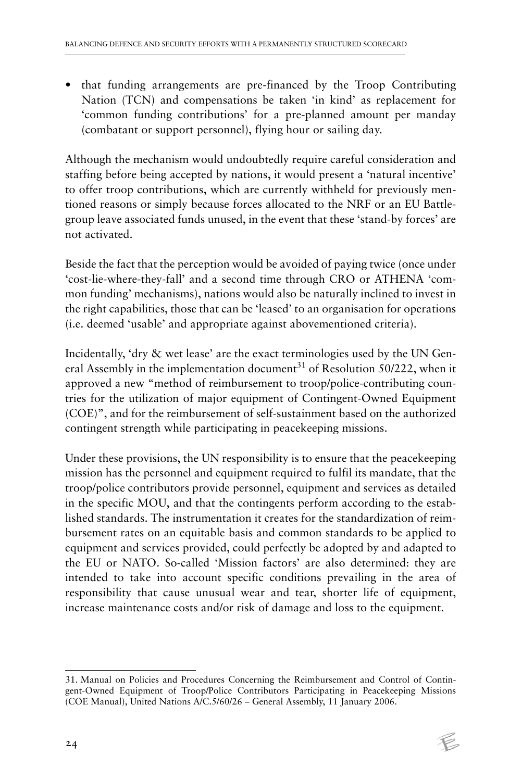• that funding arrangements are pre-financed by the Troop Contributing Nation (TCN) and compensations be taken 'in kind' as replacement for 'common funding contributions' for a pre-planned amount per manday (combatant or support personnel), flying hour or sailing day.

Although the mechanism would undoubtedly require careful consideration and staffing before being accepted by nations, it would present a 'natural incentive' to offer troop contributions, which are currently withheld for previously mentioned reasons or simply because forces allocated to the NRF or an EU Battlegroup leave associated funds unused, in the event that these 'stand-by forces' are not activated.

Beside the fact that the perception would be avoided of paying twice (once under 'cost-lie-where-they-fall' and a second time through CRO or ATHENA 'common funding' mechanisms), nations would also be naturally inclined to invest in the right capabilities, those that can be 'leased' to an organisation for operations (i.e. deemed 'usable' and appropriate against abovementioned criteria).

Incidentally, 'dry & wet lease' are the exact terminologies used by the UN General Assembly in the implementation document<sup>31</sup> of Resolution 50/222, when it approved a new "method of reimbursement to troop/police-contributing countries for the utilization of major equipment of Contingent-Owned Equipment (COE)", and for the reimbursement of self-sustainment based on the authorized contingent strength while participating in peacekeeping missions.

Under these provisions, the UN responsibility is to ensure that the peacekeeping mission has the personnel and equipment required to fulfil its mandate, that the troop/police contributors provide personnel, equipment and services as detailed in the specific MOU, and that the contingents perform according to the established standards. The instrumentation it creates for the standardization of reimbursement rates on an equitable basis and common standards to be applied to equipment and services provided, could perfectly be adopted by and adapted to the EU or NATO. So-called 'Mission factors' are also determined: they are intended to take into account specific conditions prevailing in the area of responsibility that cause unusual wear and tear, shorter life of equipment, increase maintenance costs and/or risk of damage and loss to the equipment.

<sup>31.</sup> Manual on Policies and Procedures Concerning the Reimbursement and Control of Contingent-Owned Equipment of Troop/Police Contributors Participating in Peacekeeping Missions (COE Manual), United Nations A/C.5/60/26 – General Assembly, 11 January 2006.

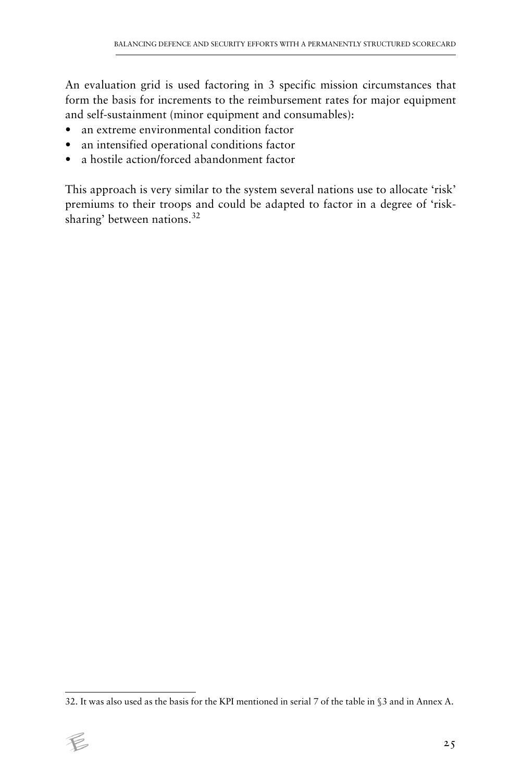An evaluation grid is used factoring in 3 specific mission circumstances that form the basis for increments to the reimbursement rates for major equipment and self-sustainment (minor equipment and consumables):

- an extreme environmental condition factor
- an intensified operational conditions factor
- a hostile action/forced abandonment factor

This approach is very similar to the system several nations use to allocate 'risk' premiums to their troops and could be adapted to factor in a degree of 'risksharing' between nations.<sup>32</sup>

<sup>32.</sup> It was also used as the basis for the KPI mentioned in serial 7 of the table in §3 and in Annex A.

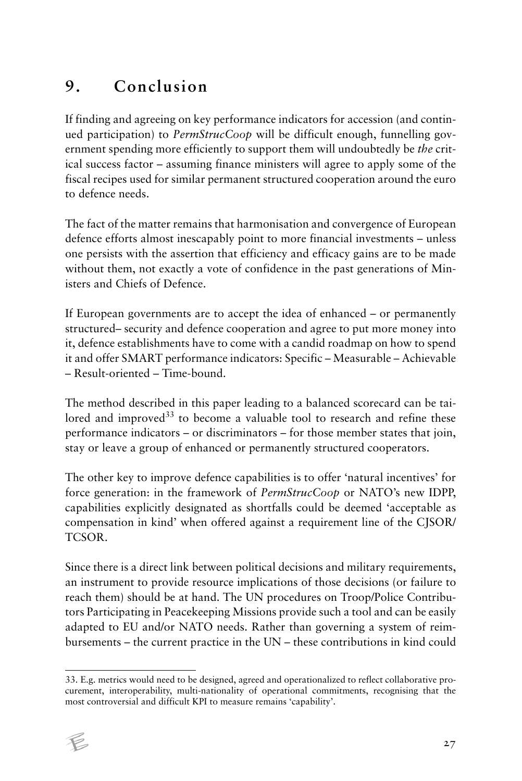# **9. Conclusion**

If finding and agreeing on key performance indicators for accession (and continued participation) to *PermStrucCoop* will be difficult enough, funnelling government spending more efficiently to support them will undoubtedly be *the* critical success factor – assuming finance ministers will agree to apply some of the fiscal recipes used for similar permanent structured cooperation around the euro to defence needs.

The fact of the matter remains that harmonisation and convergence of European defence efforts almost inescapably point to more financial investments – unless one persists with the assertion that efficiency and efficacy gains are to be made without them, not exactly a vote of confidence in the past generations of Ministers and Chiefs of Defence.

If European governments are to accept the idea of enhanced – or permanently structured– security and defence cooperation and agree to put more money into it, defence establishments have to come with a candid roadmap on how to spend it and offer SMART performance indicators: Specific – Measurable – Achievable – Result-oriented – Time-bound.

The method described in this paper leading to a balanced scorecard can be tailored and improved $33$  to become a valuable tool to research and refine these performance indicators – or discriminators – for those member states that join, stay or leave a group of enhanced or permanently structured cooperators.

The other key to improve defence capabilities is to offer 'natural incentives' for force generation: in the framework of *PermStrucCoop* or NATO's new IDPP, capabilities explicitly designated as shortfalls could be deemed 'acceptable as compensation in kind' when offered against a requirement line of the CJSOR/ TCSOR.

Since there is a direct link between political decisions and military requirements, an instrument to provide resource implications of those decisions (or failure to reach them) should be at hand. The UN procedures on Troop/Police Contributors Participating in Peacekeeping Missions provide such a tool and can be easily adapted to EU and/or NATO needs. Rather than governing a system of reimbursements – the current practice in the UN – these contributions in kind could

<sup>33.</sup> E.g. metrics would need to be designed, agreed and operationalized to reflect collaborative procurement, interoperability, multi-nationality of operational commitments, recognising that the most controversial and difficult KPI to measure remains 'capability'.

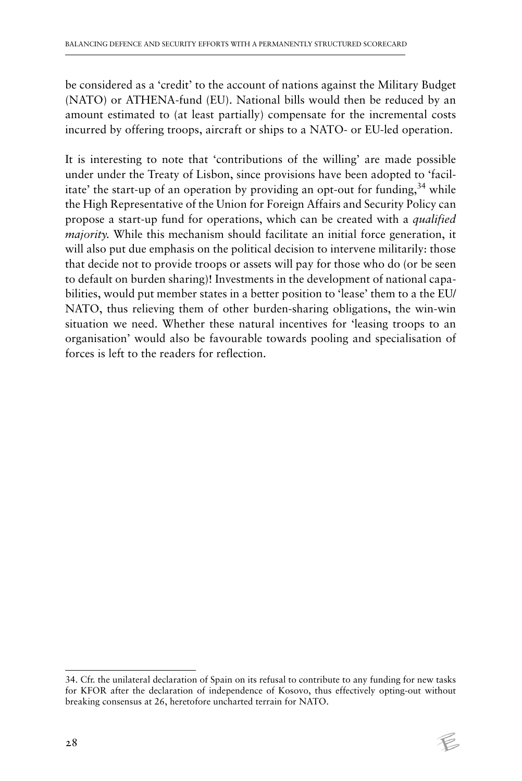be considered as a 'credit' to the account of nations against the Military Budget (NATO) or ATHENA-fund (EU). National bills would then be reduced by an amount estimated to (at least partially) compensate for the incremental costs incurred by offering troops, aircraft or ships to a NATO- or EU-led operation.

It is interesting to note that 'contributions of the willing' are made possible under under the Treaty of Lisbon, since provisions have been adopted to 'facilitate' the start-up of an operation by providing an opt-out for funding,  $34$  while the High Representative of the Union for Foreign Affairs and Security Policy can propose a start-up fund for operations, which can be created with a *qualified majority*. While this mechanism should facilitate an initial force generation, it will also put due emphasis on the political decision to intervene militarily: those that decide not to provide troops or assets will pay for those who do (or be seen to default on burden sharing)! Investments in the development of national capabilities, would put member states in a better position to 'lease' them to a the EU/ NATO, thus relieving them of other burden-sharing obligations, the win-win situation we need. Whether these natural incentives for 'leasing troops to an organisation' would also be favourable towards pooling and specialisation of forces is left to the readers for reflection.

<sup>34.</sup> Cfr. the unilateral declaration of Spain on its refusal to contribute to any funding for new tasks for KFOR after the declaration of independence of Kosovo, thus effectively opting-out without breaking consensus at 26, heretofore uncharted terrain for NATO.

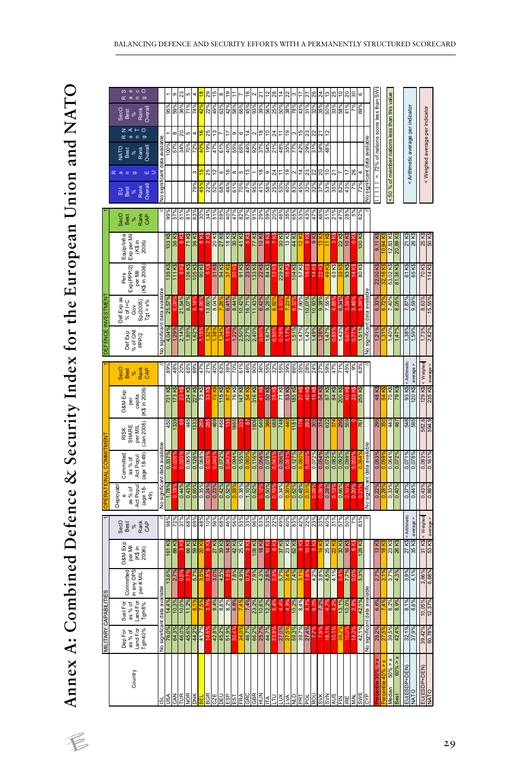Annex A: Combined Defence & Security Index for the European Union and NATO **Annex A: Combined Defence & Security Index for the European Union and NATO**

|                          | ဖ<br>$\bullet$<br>$\circ$ O<br>$\sigma$<br>$\epsilon$                                 |                               |                      |                |                |                    |                         |                         |                    |                       |                         |            |           |               |                |             |                         |               |                   |                |         |                     |                         |        |                             |               |                               |                         |               |          |                               |                                     |                |                                              |                  |                |                                    |                                                                  |                  |
|--------------------------|---------------------------------------------------------------------------------------|-------------------------------|----------------------|----------------|----------------|--------------------|-------------------------|-------------------------|--------------------|-----------------------|-------------------------|------------|-----------|---------------|----------------|-------------|-------------------------|---------------|-------------------|----------------|---------|---------------------|-------------------------|--------|-----------------------------|---------------|-------------------------------|-------------------------|---------------|----------|-------------------------------|-------------------------------------|----------------|----------------------------------------------|------------------|----------------|------------------------------------|------------------------------------------------------------------|------------------|
|                          | Overall<br>Rank<br>SecO<br>Best<br>se.                                                |                               | %56                  | 59%            | 36%            |                    | 74%                     |                         | 22%<br>49%         | 63%                   | 42%                     | 58%        | 65%       | 45%           | $3\%$          | 39%         | 56%                     | 25%           | 50%               | 38%            | 78%     | 43%                 | 31%                     | 32%    | 95%<br>50%                  | 93%           | 58%                           | 41%                     |               | 69)      |                               |                                     |                |                                              |                  |                |                                    |                                                                  |                  |
|                          | ⋖<br>$\circ$<br>ż<br>$\simeq$<br>$\subset$<br>$\circ$<br>$\varpi$                     |                               |                      | œ              | 20             | c                  | 4                       |                         | 25<br>≌            |                       |                         | G)         |           | 4             |                | °€          | ă                       | 24            | Ξ                 | e,             |         | 15                  | 23                      | 22     | $\frac{2}{3}$<br>21         |               |                               |                         |               |          |                               |                                     |                |                                              |                  |                |                                    |                                                                  |                  |
|                          | NATO<br>Best<br>Rank<br>Overall                                                       | Vo significant data available |                      | 57%            | 94%            | %02                | 72%                     |                         | %6<br>47%          | 61%                   | 40%                     | 9659       | 65%       | 44%           | $92\%$         | $37\%$      | 54%                     | %1%           | 48%               | 35%            | 77%     |                     | $\frac{42%}{29%}$       |        | %87<br>%87                  |               |                               |                         |               |          | vo significant data available | = 72% of nations score less than SV |                | <50 % of member nations less than this value |                  |                | < Arithmetic average per indicator | < Weighed average per indicator                                  |                  |
|                          | шΞ<br>$\alpha$ a                                                                      |                               |                      |                |                |                    | m                       |                         | 25<br>5            | 6                     | 9                       | $\infty$   | LC)       | 13            |                | œ           | თ                       | నే            | Ξ                 | e,             |         | 4                   | 23                      | N      | S<br>ສ                      | 5             |                               |                         | 26            |          |                               |                                     |                |                                              |                  |                |                                    |                                                                  |                  |
|                          | Overall                                                                               |                               |                      |                |                |                    | 79%                     |                         | 22%                | %89                   | 44%                     | 61%        |           | 47%           | 95%            | 41%         | 58%                     | 25%           | 53%               | 40%            | 83%     | 45%                 | 32%                     | 32%    | 37%<br>53%                  | %99           | 62%                           | Vo£7                    |               |          |                               |                                     |                |                                              |                  |                |                                    |                                                                  |                  |
|                          |                                                                                       |                               |                      |                |                |                    |                         |                         |                    |                       |                         |            |           |               |                |             |                         |               |                   |                |         |                     |                         |        |                             |               |                               |                         |               |          |                               |                                     |                |                                              |                  |                |                                    |                                                                  |                  |
|                          | SecO<br>%着<br>Raik<br>Best                                                            |                               | ğ,                   | 57             | 518            | ៖                  | $63^\circ$              | ន្លី                    | 34%<br>51%         | 669                   | ទ្ទិ                    | 47%        | 82        | 57%           | 5              | 8°,         | 59%                     | 20%           | 46%               | 35             |         | $\frac{65\%}{53\%}$ | $\frac{43\%}{47\%}$     |        | 46%                         |               | 21%<br>47%                    | 28%                     | 5%            | 62%      |                               |                                     |                |                                              |                  |                |                                    |                                                                  |                  |
|                          | Equip/Infra<br>Exp per Mil<br>(K\$ in<br>2006)                                        |                               | <b>\$X EOL</b>       | 36 K\$         |                | <b>\$&gt;1LZ</b>   | \$Y 98                  |                         | 20 K\$<br>2 K\$    | <b>SH /2</b>          | <b>18 K\$</b>           | 30 K\$     | 41 K\$    | $\frac{2}{3}$ | 77 K\$         | 10 K\$      | 8 K\$                   | <b>ZK\$</b>   | 30 K\$            | 13 K\$         | 44 K\$  | 12 K\$              | $\frac{8}{9}$           | \$X6   | <b>13 Ka</b><br>11 KS       |               | 22 K\$                        | 10 <sub>K\$</sub>       | $\frac{8}{3}$ | 100 K\$  |                               |                                     |                | 12,83 K\$                                    | 20,89 KS         | 21 K\$         | 26 K\$                             | 25 KS                                                            |                  |
|                          | Exp(PPP/2)<br>per Mil<br>(K\$ in 2006)<br>Pers                                        |                               | 135 K\$              | <b>111 K\$</b> |                | \$> 9ZL            | 105 K\$                 | \$>106                  | 31 K\$<br>3 K.     | \$X 76                |                         | 20 K\$     | 84 L6     | <b>\$X 62</b> | <b>\$X EEL</b> | \$X ZZ      | 84 K\$                  | 12 K\$        | 229 K\$           | ۱6 K           |         | 104 K\$             | 16 K\$                  | 14 K\$ | 49 <sub>K\$</sub><br>22 K\$ | 63 K\$        |                               | \$X E6                  | 14 K\$        | \$> 08   |                               | 22,00 K                             |                | 53,02 K\$                                    | 81,36 K\$        | 61 K\$         | \$X 59                             | \$Y 0.2                                                          | <b>SH PLL</b>    |
|                          | Def Exp as<br>% of I+C<br>Gov<br>$\frac{\text{Sp}(2005)}{\text{Id} \cdot \text{x\%}}$ | lo significant data available | 25,57%               |                | 21,54%         | 8,07%              | 5,18                    | 4,95%                   | 8,04%<br>13,60%    |                       | 6,41%                   | 8,44%      | 10,42%    | 16,71%        | 11,43%         | 6,42%       | 9,28%                   |               | $\frac{3}{3}$     |                |         | 7,90%               | 10,07%<br>10,93%        |        | 9,38%<br>7,55%              | 4.85          | 6,34%                         |                         |               |          | do significant data available |                                     |                | 7.40%                                        | 8,05%            | 7,87%          | $9,59\%$                           | 8,63%                                                            | 15,55%           |
| <b>DEFENCE INVESTMEN</b> | Def Exp<br>% of GNI<br>PP <sub>2</sub>                                                |                               | 4.04%                | 1.29%          | 2,14%          | 0.80%              | 1,62%                   |                         |                    |                       |                         | $1,22\%$   | 2,50%     | 2,27%         | 2,40%          | g           | 1,67%                   | <u>s</u>      | 0.76°             |                |         | 1,51%<br>1,47%      | $\frac{1,42\%}{1,49\%}$ |        | 1,47%<br>$-28%$             |               | 1,43%                         | $\frac{1}{2}$           |               | $1.51\%$ |                               | $21\%$                              |                | 1,40%                                        | 1,47%            | 1,38%          | 669                                | $1,73\%$                                                         | 2,82%            |
|                          | %<br>Rank<br>CAP<br>SecO<br>Best                                                      |                               | ğ8                   | 48%            | 20%            | 65%                |                         | 47%                     | 40%                | 63%                   |                         | 39%<br>70% | 61%       | 46%           |                |             | 80%<br>36%<br>55%       |               |                   |                |         |                     |                         |        | 88888888888<br>5988988488   | 47%           | 71%                           | 45%                     | 9%            | 63°      |                               |                                     |                |                                              |                  | < Arithmetic   | average >                          | < Weighed<br>$\frac{129 \text{ K}\$}{235 \text{ K}\$}$ average > |                  |
|                          | capita<br>(K\$ in 2006)<br><b>D&amp;M</b> Exp<br>ğ                                    |                               | <b>SH 182</b>        | <b>\$X 6.4</b> | 23 K\$         | 234 K\$<br>227 K\$ |                         | <b>\$&gt;182</b>        | 70 KS              | 115 K\$               | 67 K                    | 76 K\$     | 147 K\$   | 54 K          | <b>\$X 918</b> |             | 50 K\$                  | <b>S24 52</b> | \$X LZ            | <b>\$X 69</b>  | 185 K\$ | 27 K\$              | \$>10 0                 | 15 K\$ | $\frac{54}{87}$ KS          | <b>\$X +8</b> | 200 K\$                       | 40 KS                   |               | 255 K\$  |                               | \$X 87                              | 54 K           | \$X 0Z                                       | 5X 6Z            | 93 K\$         | \$> 0ZL                            |                                                                  |                  |
|                          | per MIL<br>(Jan 2008)<br>RISK<br>SHARE                                                |                               | 450                  | 1339           | 8              |                    | 45<br>1338<br>285       |                         |                    | 469                   |                         | 1865       |           |               |                | 1606<br>649 |                         |               | 386<br>688<br>748 | 4              | 1181    | <u>مع</u>           | <b>293</b><br>303       |        | $rac{314}{622}$             |               | 295<br>559                    |                         |               | 767      |                               | <b>S6Z</b>                          |                | 443                                          | 197              | 548            |                                    | 582,6                                                            |                  |
|                          | as % of<br>Act Popul<br>(age 18-49)<br>Committed                                      | lo significant data available | $0.337$ <sup>c</sup> |                | 0.020          | 0,065%<br>0,126%   |                         | 0,068%                  | $040$ <sup>%</sup> | 0,072%                |                         | $0.094\%$  | $0,155\%$ |               | 0.116%         | 0.056       | 0,078%                  |               | 0,056%            |                | 0,127%  |                     |                         | 0,072% | 0,075%<br>0,054%            | 0,082%        | $0,092\%$                     | %660'0                  |               |          | significant data available    |                                     |                | $0,064\%$                                    | 0,072%           | 0,071%         | 60,078                             | 0,083%                                                           | 0,161%           |
|                          | Deployabl<br>(age 18-<br>as % of<br>Act Popu<br>49)<br>$\bullet$                      |                               | 1,78%                |                | 0,44%          |                    | 0,43%<br>0,65%          | $\frac{0.35\%}{0.24\%}$ | 0,23%              | 0,42%                 | 0,52%                   |            | 0,38%     | 1,10%         | 0,62%          |             | $0,50\%$                |               | 0,84%             |                |         | 0,62%<br>0,48%      |                         | 0.09°  | $0,28\%$                    |               | %99'0                         |                         |               |          |                               | $0,22\%$                            |                | <b>96850</b>                                 | 0,40%            | 0,37%          | 0,44%                              | 0,43%<br>0,88%                                                   |                  |
|                          | Seco<br>Best<br>Rank<br>CAP                                                           |                               | $98^\circ$           | 72%            | $37\%$         | %69<br>%89         |                         | %0L<br>%8+              |                    | 56%<br>68%            | 46%                     | 56%        | 53%       | 33%           |                |             | 96%<br>53%<br>53%       | 22%           | 49%               | 40%            |         | 83%                 |                         |        | %% ಜನೆ<br>ಜನಪಟ್ಟಿ<br>ಜನ     |               | $\frac{9}{6}$ / $\frac{9}{6}$ | $^{900}$                | ř             | 83°      |                               |                                     |                |                                              |                  | < Arithmetic   | average >                          | < Weighed                                                        | 53 K\$ average > |
|                          | O&M Exp<br>(K\$ in<br>2006)<br>per Mil                                                |                               | 161 K\$              | 88 K\$         | ø              | 66 K\$             | \$X 69                  |                         | $6$ K <sub>3</sub> | 27 K <sub>\$</sub>    | 14 K\$                  | 42 K\$     | 25 K\$    |               | <b>\$X 80L</b> | 18 K\$      | $\overline{a}$          | 8 K\$         | 37 K\$            | 23 K\$         | 62 K\$  | $8$ K\$             | \$X 01                  | \$X 9  | 25 K\$<br>19 K\$            |               | 30 K\$                        | 16 K\$                  | 6 K3          | 128 K\$  |                               | 13K                                 | œ              | 23 K\$                                       | 26 K\$           | 27 K\$         | 35 K\$                             | 31 K\$                                                           |                  |
|                          | Committed<br>n any OPS<br>per # MIL                                                   | able                          |                      | 2,7%           | 0.5%           | 2.7%               | 5,7%                    |                         | $\frac{98}{6}$     | $\frac{3.0\%}{4.5\%}$ | ၹၟ                      | 7,8%       | 4,9%      |               | 7,9%           | 4,3%        | 2,8%                    | 2.3%          | 5,7%              |                | 7,4%    |                     |                         |        | 1,6%<br>4,3%<br>4,5%        | 4,1%          | ×<br>24                       | $^{9/6}L^7$             | $_{0.0\%}$    | 5,3%     |                               |                                     |                | 3.7%                                         | 4,3%             | 3,9%           | 4,1%                               | 3,66%<br>6,68%                                                   |                  |
| MILITARY CAPABILITI      | Sust For<br>as % of<br>Land For<br>Tgt=8%                                             | No significant data avai      |                      | 10,3%          | 10,0%          | 11,2%              |                         |                         |                    |                       | $\frac{9,4\%}{8,6\%}$   | 6,8%       |           | 7,4%          | 23,2%          | 10,6%       | 12,2%                   | 5,4%          |                   | $4,4%$<br>4,9% |         | 10,2%<br>8,4%       | $\frac{4.1\%}{6.0\%}$   |        | 7,2%<br>4,7%<br>4,2%        |               | 13,1%                         | 10,0%                   |               | 42,1%    | No significant data avai      | 6,6%                                |                | 8,2%                                         | 8,9%             | 8,1%           | 8,6%                               | 10,05%                                                           | $12,37\%$        |
|                          | Dep For<br>as % of<br>Land For<br>Tgt=40%                                             |                               | 76.0%                |                | 64,3%<br>46,0% |                    | 45,6%<br>44,2%<br>41,7% |                         | 14,5%              |                       | 42,8%<br>45,2%<br>51,9% | 20,4%      | 34.0%     | 46,7%         |                |             | 66,2%<br>25,7%<br>44,7% | 23,9%         | 27,0%             |                |         |                     | 59,3%<br>39,7%<br>27,4% |        | 7,9%<br>18,1%               | 10,1%         |                               | $\frac{39.2\%}{10.0\%}$ | 14.3%         | 42,1%    |                               | 25,2%                               |                | 99,5%                                        | 42,4%            | 32,1%<br>37,9% |                                    | 39,42%                                                           | 60,78%           |
|                          | Country                                                                               | ø                             | VSL                  | <b>CAN</b>     | ĮŘ             | <b>NOR</b>         | <b>XNC</b>              |                         | <b>BGR</b><br>CZE  | ПED                   | BSB                     | <b>LSE</b> |           | OYO<br>VAH    | <b>GBR</b>     | ЯQН         | É                       |               | ă                 | Ś              |         |                     |                         |        | <u>SESSISSER</u>            |               |                               |                         | <b>NAL</b>    | ш        |                               |                                     | 40%<br>centile | x < 900<br>Median                            | x < 0.09<br>Best | EU(ESDP+DEN)   | <b>NATO</b>                        | EU(ESDP+DEN)<br>NATO                                             |                  |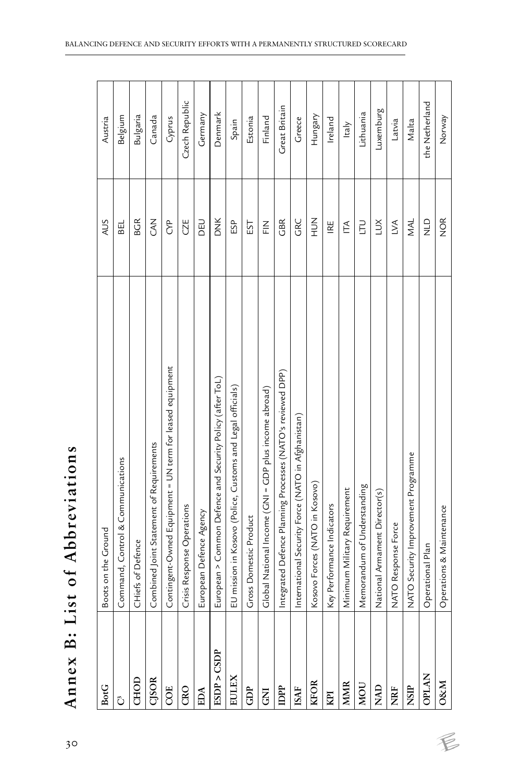| <b>BotG</b>    | Boots on the Ground                                              | SUN           | Austria        |
|----------------|------------------------------------------------------------------|---------------|----------------|
| Ĉ              | Command, Control & Communications                                | <b>BEL</b>    | Belgium        |
| CHOD           | CHiefs of Defence                                                | <b>BGR</b>    | Bulgaria       |
| <b>CJSOR</b>   | Combined Joint Statement of Requirements                         | Z<br>CA       | Canada         |
| COE            | Contingent-Owned Equipment = UN term for leased equipment        | e<br>S        | Cyprus         |
| CRO            | Crisis Response Operations                                       | CZE           | Czech Republic |
| EDA            | European Defence Agency                                          | DEU           | Germany        |
| ESDP > CSDP    | European > Common Defence and Security Policy (after ToL)        | <b>DNK</b>    | Denmark        |
| EULEX          | mission in Kosovo (Police, Customs and Legal officials)<br>$\Xi$ | ESP           | Spain          |
| GDP            | Gross Domestic Product                                           | EST           | Estonia        |
| $\overline{S}$ | Global National Income (GNI = GDP plus income abroad)            | $\frac{2}{L}$ | Finland        |
| DPP            | Integrated Defence Planning Processes (NATO's reviewed DPP)      | GBR           | Great Britain  |
| <b>ISAF</b>    | International Security Force (NATO in Afghanistan)               | GRC           | Greece         |
| <b>KFOR</b>    | Kosovo Forces (NATO in Kosovo)                                   | NOH           | Hungary        |
| KPI            | Performance Indicators<br>Key                                    | IRE           | Ireland        |
| <b>MMR</b>     | Minimum Military Requirement                                     | É             | Italy          |
| NOU            | Memorandum of Understanding                                      | E             | Lithuania      |
| <b>NAD</b>     | National Armament Director(s)                                    | ŠΠ            | Luxemburg      |
| <b>NRF</b>     | <b>TO Response Force</b><br><b>NAT</b>                           | $\leq$        | Latvia         |
| NSIP           | NATO Security Improvement Programme                              | <b>NAL</b>    | Malta          |
| <b>OPLAN</b>   | Operational Plan                                                 | $\frac{0}{z}$ | the Netherland |
| <b>O&amp;M</b> | Operations & Maintenance                                         | NOR           | Norway         |

 $\not\in$ 

| eviations<br>Abbr <sub>'</sub>                          |
|---------------------------------------------------------|
| t<br>$\vec{c}$<br>ن<br>م<br>List<br>ł                   |
| $\ddot{\mathbf{z}}$<br>$\mathbf{S}$<br>Ann <sup>'</sup> |
| 30                                                      |